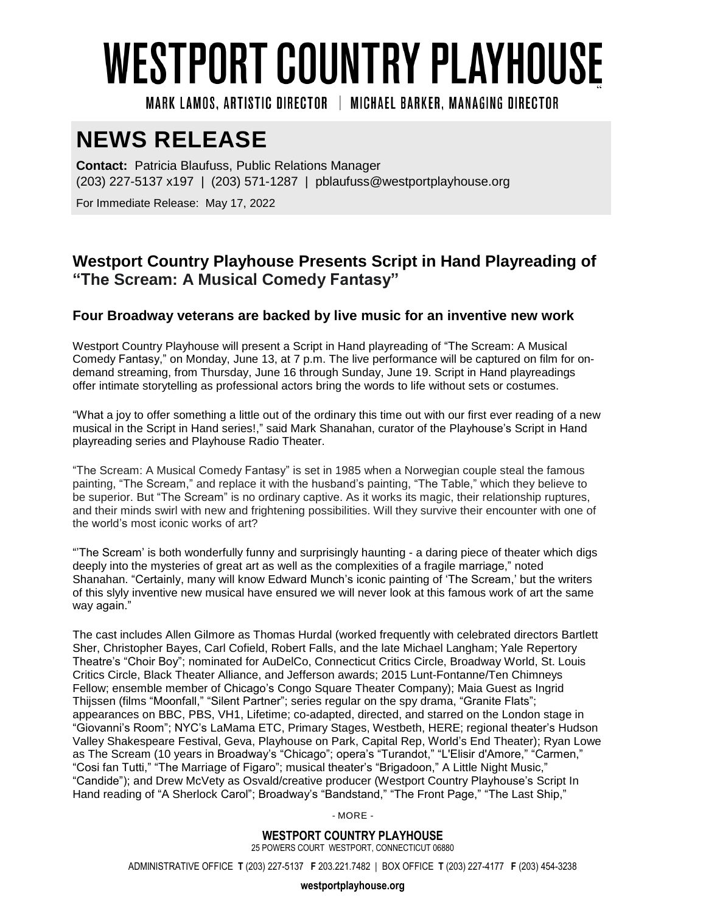# WESTPORT COUNTRY PLAYHOUSE

MARK LAMOS. ARTISTIC DIRECTOR | MICHAEL BARKER. MANAGING DIRECTOR

# **NEWS RELEASE**

**Contact:** Patricia Blaufuss, Public Relations Manager (203) 227-5137 x197 | (203) 571-1287 | pblaufuss@westportplayhouse.org

For Immediate Release: May 17, 2022

## **Westport Country Playhouse Presents Script in Hand Playreading of "The Scream: A Musical Comedy Fantasy"**

### **Four Broadway veterans are backed by live music for an inventive new work**

Westport Country Playhouse will present a Script in Hand playreading of "The Scream: A Musical Comedy Fantasy," on Monday, June 13, at 7 p.m. The live performance will be captured on film for ondemand streaming, from Thursday, June 16 through Sunday, June 19. Script in Hand playreadings offer intimate storytelling as professional actors bring the words to life without sets or costumes.

"What a joy to offer something a little out of the ordinary this time out with our first ever reading of a new musical in the Script in Hand series!," said Mark Shanahan, curator of the Playhouse's Script in Hand playreading series and Playhouse Radio Theater.

"The Scream: A Musical Comedy Fantasy" is set in 1985 when a Norwegian couple steal the famous painting, "The Scream," and replace it with the husband's painting, "The Table," which they believe to be superior. But "The Scream" is no ordinary captive. As it works its magic, their relationship ruptures, and their minds swirl with new and frightening possibilities. Will they survive their encounter with one of the world's most iconic works of art?

"'The Scream' is both wonderfully funny and surprisingly haunting - a daring piece of theater which digs deeply into the mysteries of great art as well as the complexities of a fragile marriage," noted Shanahan. "Certainly, many will know Edward Munch's iconic painting of 'The Scream,' but the writers of this slyly inventive new musical have ensured we will never look at this famous work of art the same way again."

The cast includes Allen Gilmore as Thomas Hurdal (worked frequently with celebrated directors Bartlett Sher, Christopher Bayes, Carl Cofield, Robert Falls, and the late Michael Langham; Yale Repertory Theatre's "Choir Boy"; nominated for AuDelCo, Connecticut Critics Circle, Broadway World, St. Louis Critics Circle, Black Theater Alliance, and Jefferson awards; 2015 Lunt-Fontanne/Ten Chimneys Fellow; ensemble member of Chicago's Congo Square Theater Company); Maia Guest as Ingrid Thijssen (films "Moonfall," "Silent Partner"; series regular on the spy drama, "Granite Flats"; appearances on BBC, PBS, VH1, Lifetime; co-adapted, directed, and starred on the London stage in "Giovanni's Room"; NYC's LaMama ETC, Primary Stages, Westbeth, HERE; regional theater's Hudson Valley Shakespeare Festival, Geva, Playhouse on Park, Capital Rep, World's End Theater); Ryan Lowe as The Scream (10 years in Broadway's "Chicago"; opera's "Turandot," "L'Elisir d'Amore," "Carmen," "Cosi fan Tutti," "The Marriage of Figaro"; musical theater's "Brigadoon," A Little Night Music," "Candide"); and Drew McVety as Osvald/creative producer (Westport Country Playhouse's Script In Hand reading of "A Sherlock Carol"; Broadway's "Bandstand," "The Front Page," "The Last Ship,"

- MORE -

**WESTPORT COUNTRY PLAYHOUSE** 25 POWERS COURT WESTPORT, CONNECTICUT 06880

ADMINISTRATIVE OFFICE **T** (203) 227-5137 **F** 203.221.7482 | BOX OFFICE **T** (203) 227-4177 **F** (203) 454-3238

**westportplayhouse.org**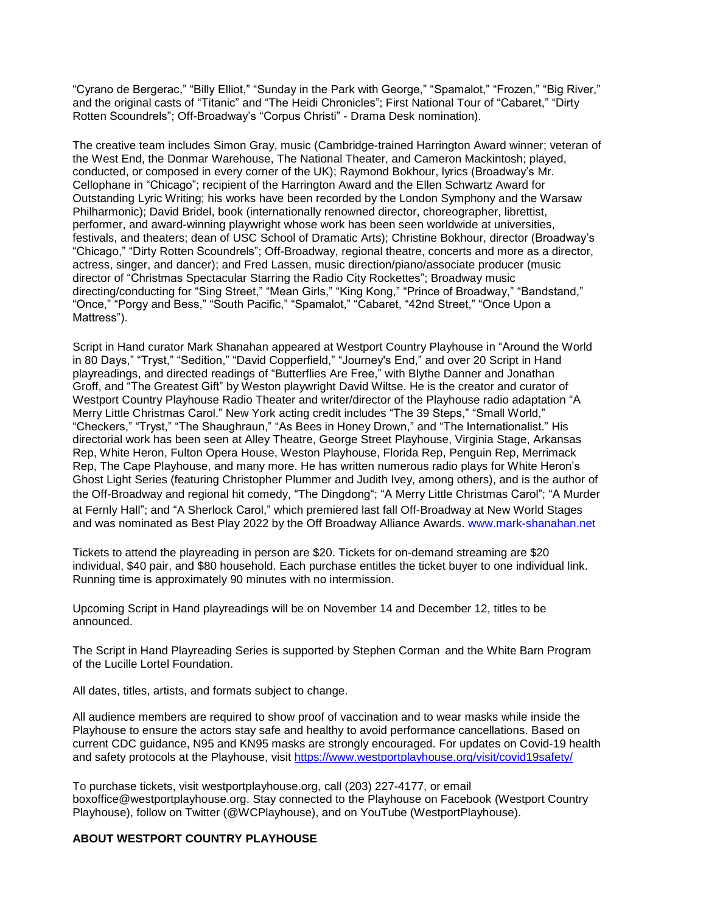"Cyrano de Bergerac," "Billy Elliot," "Sunday in the Park with George," "Spamalot," "Frozen," "Big River," and the original casts of "Titanic" and "The Heidi Chronicles"; First National Tour of "Cabaret," "Dirty Rotten Scoundrels"; Off-Broadway's "Corpus Christi" - Drama Desk nomination).

The creative team includes Simon Gray, music (Cambridge-trained Harrington Award winner; veteran of the West End, the Donmar Warehouse, The National Theater, and Cameron Mackintosh; played, conducted, or composed in every corner of the UK); Raymond Bokhour, lyrics (Broadway's Mr. Cellophane in "Chicago"; recipient of the Harrington Award and the Ellen Schwartz Award for Outstanding Lyric Writing; his works have been recorded by the London Symphony and the Warsaw Philharmonic); David Bridel, book (internationally renowned director, choreographer, librettist, performer, and award-winning playwright whose work has been seen worldwide at universities, festivals, and theaters; dean of USC School of Dramatic Arts); Christine Bokhour, director (Broadway's "Chicago," "Dirty Rotten Scoundrels"; Off-Broadway, regional theatre, concerts and more as a director, actress, singer, and dancer); and Fred Lassen, music direction/piano/associate producer (music director of "Christmas Spectacular Starring the Radio City Rockettes"; Broadway music directing/conducting for "Sing Street," "Mean Girls," "King Kong," "Prince of Broadway," "Bandstand," "Once," "Porgy and Bess," "South Pacific," "Spamalot," "Cabaret, "42nd Street," "Once Upon a Mattress").

Script in Hand curator Mark Shanahan appeared at Westport Country Playhouse in "Around the World in 80 Days," "Tryst," "Sedition," "David Copperfield," "Journey's End," and over 20 Script in Hand playreadings, and directed readings of "Butterflies Are Free," with Blythe Danner and Jonathan Groff, and "The Greatest Gift" by Weston playwright David Wiltse. He is the creator and curator of Westport Country Playhouse Radio Theater and writer/director of the Playhouse radio adaptation "A Merry Little Christmas Carol." New York acting credit includes "The 39 Steps," "Small World," "Checkers," "Tryst," "The Shaughraun," "As Bees in Honey Drown," and "The Internationalist." His directorial work has been seen at Alley Theatre, George Street Playhouse, Virginia Stage, Arkansas Rep, White Heron, Fulton Opera House, Weston Playhouse, Florida Rep, Penguin Rep, Merrimack Rep, The Cape Playhouse, and many more. He has written numerous radio plays for White Heron's Ghost Light Series (featuring Christopher Plummer and Judith Ivey, among others), and is the author of the Off-Broadway and regional hit comedy, "The Dingdong"; "A Merry Little Christmas Carol"; "A Murder at Fernly Hall"; and "A Sherlock Carol," which premiered last fall Off-Broadway at New World Stages and was nominated as Best Play 2022 by the Off Broadway Alliance Awards. [www.mark-shanahan.net](http://www.mark-shanahan.net/)

Tickets to attend the playreading in person are \$20. Tickets for on-demand streaming are \$20 individual, \$40 pair, and \$80 household. Each purchase entitles the ticket buyer to one individual link. Running time is approximately 90 minutes with no intermission.

Upcoming Script in Hand playreadings will be on November 14 and December 12, titles to be announced.

The Script in Hand Playreading Series is supported by Stephen Corman and the White Barn Program of the Lucille Lortel Foundation.

All dates, titles, artists, and formats subject to change.

All audience members are required to show proof of vaccination and to wear masks while inside the Playhouse to ensure the actors stay safe and healthy to avoid performance cancellations. Based on current CDC guidance, N95 and KN95 masks are strongly encouraged. For updates on Covid-19 health and safety protocols at the Playhouse, visit <https://www.westportplayhouse.org/visit/covid19safety/>

To purchase tickets, visit westportplayhouse.org, call (203) 227-4177, or email [boxoffice@westportplayhouse.org.](mailto:boxoffice@westportplayhouse.org) Stay connected to the Playhouse on Facebook (Westport Country Playhouse), follow on Twitter (@WCPlayhouse), and on YouTube (WestportPlayhouse).

#### **ABOUT WESTPORT COUNTRY PLAYHOUSE**